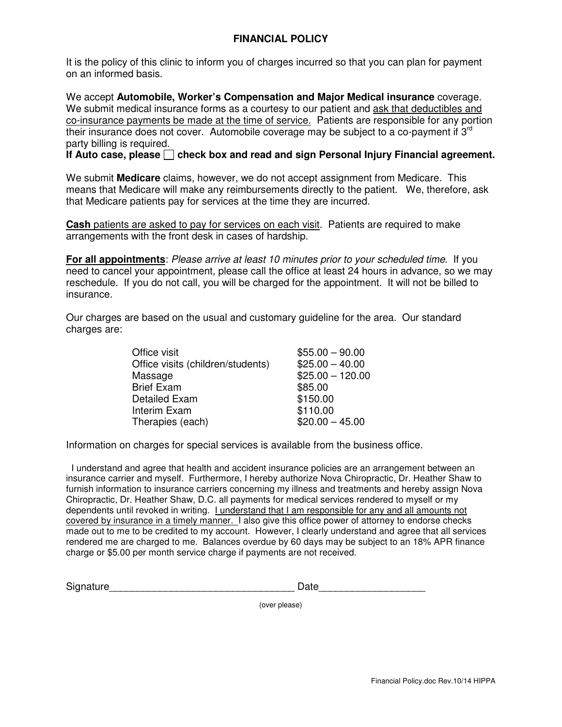## **FINANCIAL POLICY**

It is the policy of this clinic to inform you of charges incurred so that you can plan for payment on an informed basis.

We accept **Automobile, Worker's Compensation and Major Medical insurance** coverage. We submit medical insurance forms as a courtesy to our patient and ask that deductibles and co-insurance payments be made at the time of service. Patients are responsible for any portion their insurance does not cover. Automobile coverage may be subject to a co-payment if  $3<sup>rd</sup>$ party billing is required.

If Auto case, please **check box and read and sign Personal Injury Financial agreement.** 

We submit **Medicare** claims, however, we do not accept assignment from Medicare. This means that Medicare will make any reimbursements directly to the patient. We, therefore, ask that Medicare patients pay for services at the time they are incurred.

**Cash** patients are asked to pay for services on each visit. Patients are required to make arrangements with the front desk in cases of hardship.

**For all appointments**: Please arrive at least 10 minutes prior to your scheduled time. If you need to cancel your appointment, please call the office at least 24 hours in advance, so we may reschedule. If you do not call, you will be charged for the appointment. It will not be billed to insurance.

Our charges are based on the usual and customary guideline for the area. Our standard charges are:

| Office visit                      | $$55.00 - 90.00$  |
|-----------------------------------|-------------------|
| Office visits (children/students) | $$25.00 - 40.00$  |
| Massage                           | $$25.00 - 120.00$ |
| <b>Brief Exam</b>                 | \$85.00           |
| <b>Detailed Exam</b>              | \$150.00          |
| Interim Exam                      | \$110.00          |
| Therapies (each)                  | $$20.00 - 45.00$  |

Information on charges for special services is available from the business office.

 I understand and agree that health and accident insurance policies are an arrangement between an insurance carrier and myself. Furthermore, I hereby authorize Nova Chiropractic, Dr. Heather Shaw to furnish information to insurance carriers concerning my illness and treatments and hereby assign Nova Chiropractic, Dr. Heather Shaw, D.C. all payments for medical services rendered to myself or my dependents until revoked in writing. I understand that I am responsible for any and all amounts not covered by insurance in a timely manner. I also give this office power of attorney to endorse checks made out to me to be credited to my account. However, I clearly understand and agree that all services rendered me are charged to me. Balances overdue by 60 days may be subject to an 18% APR finance charge or \$5.00 per month service charge if payments are not received.

| Signature | )ate |
|-----------|------|
|-----------|------|

(over please)